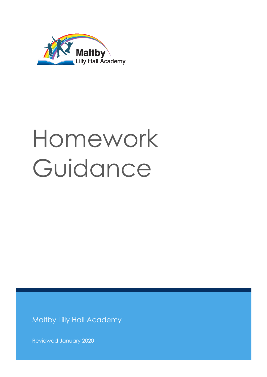

# Homework Guidance

Maltby Lilly Hall Academy

Reviewed January 2020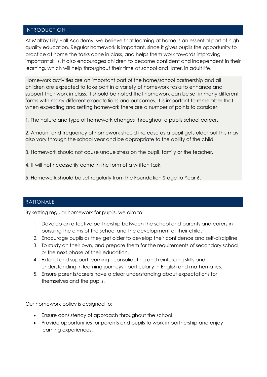## INTRODUCTION

At Maltby Lilly Hall Academy, we believe that learning at home is an essential part of high quality education. Regular homework is important, since it gives pupils the opportunity to practice at home the tasks done in class, and helps them work towards improving important skills. It also encourages children to become confident and independent in their learning, which will help throughout their time at school and, later, in adult life.

Homework activities are an important part of the home/school partnership and all children are expected to take part in a variety of homework tasks to enhance and support their work in class. It should be noted that homework can be set in many different forms with many different expectations and outcomes. It is important to remember that when expecting and setting homework there are a number of points to consider:

1. The nature and type of homework changes throughout a pupils school career.

2. Amount and frequency of homework should increase as a pupil gets older but this may also vary through the school year and be appropriate to the ability of the child.

3. Homework should not cause undue stress on the pupil, family or the teacher.

- 4. It will not necessarily come in the form of a written task.
- 5. Homework should be set regularly from the Foundation Stage to Year 6.

# RATIONALE

By setting regular homework for pupils, we aim to:

- 1. Develop an effective partnership between the school and parents and carers in pursuing the aims of the school and the development of their child.
- 2. Encourage pupils as they get older to develop their confidence and self-discipline.
- 3. To study on their own, and prepare them for the requirements of secondary school, or the next phase of their education.
- 4. Extend and support learning consolidating and reinforcing skills and understanding in learning journeys - particularly in English and mathematics.
- 5. Ensure parents/carers have a clear understanding about expectations for themselves and the pupils.

Our homework policy is designed to:

- Ensure consistency of approach throughout the school.
- Provide opportunities for parents and pupils to work in partnership and enjoy learning experiences.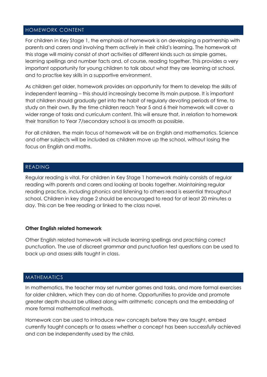#### HOMEWORK CONTENT

For children in Key Stage 1, the emphasis of homework is on developing a partnership with parents and carers and involving them actively in their child's learning. The homework at this stage will mainly consist of short activities of different kinds such as simple games, learning spellings and number facts and, of course, reading together. This provides a very important opportunity for young children to talk about what they are learning at school, and to practise key skills in a supportive environment.

As children get older, homework provides an opportunity for them to develop the skills of independent learning – this should increasingly become its main purpose. It is important that children should gradually get into the habit of regularly devoting periods of time, to study on their own. By the time children reach Year 5 and 6 their homework will cover a wider range of tasks and curriculum content. This will ensure that, in relation to homework their transition to Year 7/secondary school is as smooth as possible.

For all children, the main focus of homework will be on English and mathematics. Science and other subjects will be included as children move up the school, without losing the focus on English and maths.

#### READING

Regular reading is vital. For children in Key Stage 1 homework mainly consists of regular reading with parents and carers and looking at books together. Maintaining regular reading practice, including phonics and listening to others read is essential throughout school. Children in key stage 2 should be encouraged to read for at least 20 minutes a day. This can be free reading or linked to the class novel.

#### **Other English related homework**

Other English related homework will include learning spellings and practising correct punctuation. The use of discreet grammar and punctuation test questions can be used to back up and assess skills taught in class.

#### MATHEMATICS

In mathematics, the teacher may set number games and tasks, and more formal exercises for older children, which they can do at home. Opportunities to provide and promote greater depth should be utilised along with arithmetic concepts and the embedding of more formal mathematical methods.

Homework can be used to introduce new concepts before they are taught, embed currently taught concepts or to assess whether a concept has been successfully achieved and can be independently used by the child.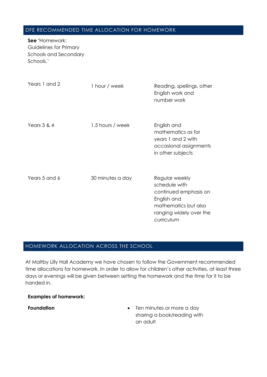# DFE RECOMMENDED TIME ALLOCATION FOR HOMEWORK

**See '**Homework: Guidelines for Primary Schools and Secondary Schools.'

| Years 1 and 2 | 1 hour / week    | Reading, spellings, other<br>English work and<br>number work                                                                             |
|---------------|------------------|------------------------------------------------------------------------------------------------------------------------------------------|
| Years $3 & 4$ | 1.5 hours / week | English and<br>mathematics as for<br>years 1 and 2 with<br>occasional assignments<br>in other subjects                                   |
| Years 5 and 6 | 30 minutes a day | Regular weekly<br>schedule with<br>continued emphasis on<br>English and<br>mathematics but also<br>ranging widely over the<br>curriculum |

# HOMEWORK ALLOCATION ACROSS THE SCHOOL

At Maltby Lilly Hall Academy we have chosen to follow the Government recommended time allocations for homework. In order to allow for children's other activities, at least three days or evenings will be given between setting the homework and the time for it to be handed in.

## **Examples of homework:**

**Foundation Ten minutes or more a day** sharing a book/reading with an adult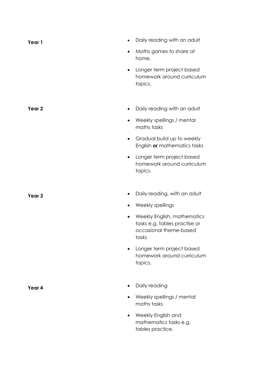| Year 1            | Daily reading with an adult<br>$\bullet$                                                                     |
|-------------------|--------------------------------------------------------------------------------------------------------------|
|                   | Maths games to share at<br>$\bullet$<br>home.                                                                |
|                   | Longer term project based<br>$\bullet$<br>homework around curriculum<br>topics.                              |
|                   |                                                                                                              |
| Year 2            | Daily reading with an adult<br>$\bullet$                                                                     |
|                   | Weekly spellings / mental<br>$\bullet$<br>maths tasks                                                        |
|                   | Gradual build up to weekly<br>$\bullet$<br>English or mathematics tasks                                      |
|                   | Longer term project based<br>$\bullet$<br>homework around curriculum<br>topics.                              |
|                   |                                                                                                              |
| Year <sub>3</sub> | Daily reading, with an adult                                                                                 |
|                   | Weekly spellings                                                                                             |
|                   | Weekly English, mathematics<br>$\bullet$<br>tasks e.g. tables practise or<br>occasional theme-based<br>tasks |
|                   | Longer term project based<br>homework around curriculum<br>topics.                                           |
| Year 4            | Daily reading                                                                                                |
|                   | Weekly spellings / mental<br>maths tasks                                                                     |

 Weekly English and mathematics tasks e.g. tables practice.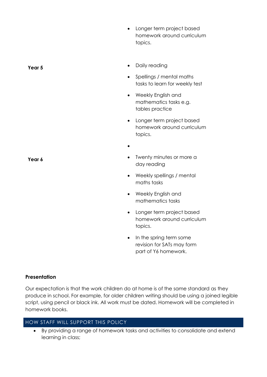- Longer term project based homework around curriculum topics.
- **Year 5 Daily reading** 
	- Spellings / mental maths tasks to learn for weekly test
	- Weekly English and mathematics tasks e.g. tables practice
	- Longer term project based homework around curriculum topics.
	- $\bullet$
- **Year 6 Twenty minutes or more a** day reading
	- Weekly spellings / mental maths tasks
	- Weekly English and mathematics tasks
	- Longer term project based homework around curriculum topics.
	- In the spring term some revision for SATs may form part of Y6 homework.

## **Presentation**

Our expectation is that the work children do at home is of the same standard as they produce in school. For example, for older children writing should be using a joined legible script, using pencil or black ink. All work must be dated. Homework will be completed in homework books.

# HOW STAFF WILL SUPPORT THIS POLICY

 By providing a range of homework tasks and activities to consolidate and extend learning in class;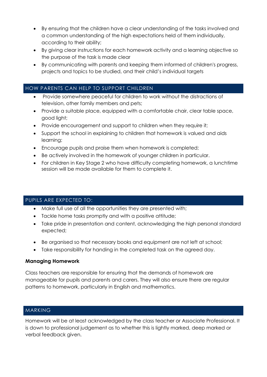- By ensuring that the children have a clear understanding of the tasks involved and a common understanding of the high expectations held of them individually, according to their ability;
- By giving clear instructions for each homework activity and a learning objective so the purpose of the task is made clear
- By communicating with parents and keeping them informed of children's progress, projects and topics to be studied, and their child's individual targets

# HOW PARENTS CAN HELP TO SUPPORT CHILDREN

- Provide somewhere peaceful for children to work without the distractions of television, other family members and pets;
- Provide a suitable place, equipped with a comfortable chair, clear table space, good light;
- Provide encouragement and support to children when they require it;
- Support the school in explaining to children that homework is valued and aids learning;
- Encourage pupils and praise them when homework is completed;
- Be actively involved in the homework of younger children in particular.
- For children in Key Stage 2 who have difficulty completing homework, a lunchtime session will be made available for them to complete it.

# PUPILS ARE EXPECTED TO:

- Make full use of all the opportunities they are presented with;
- Tackle home tasks promptly and with a positive attitude;
- Take pride in presentation and content, acknowledging the high personal standard expected;
- Be organised so that necessary books and equipment are not left at school;
- Take responsibility for handing in the completed task on the agreed day.

# **Managing Homework**

Class teachers are responsible for ensuring that the demands of homework are manageable for pupils and parents and carers. They will also ensure there are regular patterns to homework, particularly in English and mathematics.

# MARKING

Homework will be at least acknowledged by the class teacher or Associate Professional. It is down to professional judgement as to whether this is lightly marked, deep marked or verbal feedback given.